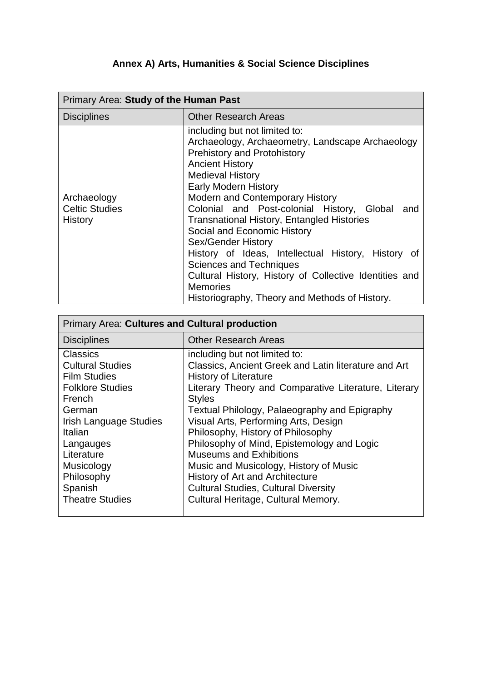## **Annex A) Arts, Humanities & Social Science Disciplines**

| Primary Area: Study of the Human Past           |                                                                                                                                                                                                                                                                                                                                                                                                                                                                                                                                                                                                                                          |
|-------------------------------------------------|------------------------------------------------------------------------------------------------------------------------------------------------------------------------------------------------------------------------------------------------------------------------------------------------------------------------------------------------------------------------------------------------------------------------------------------------------------------------------------------------------------------------------------------------------------------------------------------------------------------------------------------|
| <b>Disciplines</b>                              | <b>Other Research Areas</b>                                                                                                                                                                                                                                                                                                                                                                                                                                                                                                                                                                                                              |
| Archaeology<br><b>Celtic Studies</b><br>History | including but not limited to:<br>Archaeology, Archaeometry, Landscape Archaeology<br><b>Prehistory and Protohistory</b><br><b>Ancient History</b><br><b>Medieval History</b><br><b>Early Modern History</b><br><b>Modern and Contemporary History</b><br>Colonial and Post-colonial History, Global and<br><b>Transnational History, Entangled Histories</b><br>Social and Economic History<br>Sex/Gender History<br>History of Ideas, Intellectual History, History of<br><b>Sciences and Techniques</b><br>Cultural History, History of Collective Identities and<br><b>Memories</b><br>Historiography, Theory and Methods of History. |

| <b>Primary Area: Cultures and Cultural production</b>                                                                                                                                                                          |                                                                                                                                                                                                                                                                                                                                                                                                                                                                                                                                                 |  |
|--------------------------------------------------------------------------------------------------------------------------------------------------------------------------------------------------------------------------------|-------------------------------------------------------------------------------------------------------------------------------------------------------------------------------------------------------------------------------------------------------------------------------------------------------------------------------------------------------------------------------------------------------------------------------------------------------------------------------------------------------------------------------------------------|--|
| <b>Disciplines</b>                                                                                                                                                                                                             | <b>Other Research Areas</b>                                                                                                                                                                                                                                                                                                                                                                                                                                                                                                                     |  |
| <b>Classics</b><br><b>Cultural Studies</b><br><b>Film Studies</b><br><b>Folklore Studies</b><br>French<br>German<br><b>Irish Language Studies</b><br>Italian<br>Langauges<br>Literature<br>Musicology<br>Philosophy<br>Spanish | including but not limited to:<br>Classics, Ancient Greek and Latin literature and Art<br><b>History of Literature</b><br>Literary Theory and Comparative Literature, Literary<br><b>Styles</b><br>Textual Philology, Palaeography and Epigraphy<br>Visual Arts, Performing Arts, Design<br>Philosophy, History of Philosophy<br>Philosophy of Mind, Epistemology and Logic<br><b>Museums and Exhibitions</b><br>Music and Musicology, History of Music<br><b>History of Art and Architecture</b><br><b>Cultural Studies, Cultural Diversity</b> |  |
| <b>Theatre Studies</b>                                                                                                                                                                                                         | Cultural Heritage, Cultural Memory.                                                                                                                                                                                                                                                                                                                                                                                                                                                                                                             |  |

and the control of the control of the control of the control of the control of the control of the control of the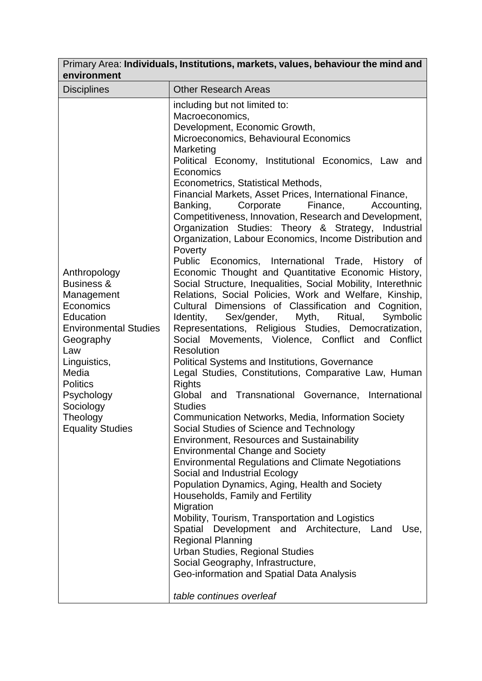| Primary Area: Individuals, Institutions, markets, values, behaviour the mind and<br>environment                                                                                                                                                 |                                                                                                                                                                                                                                                                                                                                                                                                                                                                                                                                                                                                                                                                                                                                                                                                                                                                                                                                                                                                                                                                                                                                                                                                                                                                                                                                                                                                                                                                                                                                                                                                                                                                                                                                                                                                                                                                                                                                                        |  |
|-------------------------------------------------------------------------------------------------------------------------------------------------------------------------------------------------------------------------------------------------|--------------------------------------------------------------------------------------------------------------------------------------------------------------------------------------------------------------------------------------------------------------------------------------------------------------------------------------------------------------------------------------------------------------------------------------------------------------------------------------------------------------------------------------------------------------------------------------------------------------------------------------------------------------------------------------------------------------------------------------------------------------------------------------------------------------------------------------------------------------------------------------------------------------------------------------------------------------------------------------------------------------------------------------------------------------------------------------------------------------------------------------------------------------------------------------------------------------------------------------------------------------------------------------------------------------------------------------------------------------------------------------------------------------------------------------------------------------------------------------------------------------------------------------------------------------------------------------------------------------------------------------------------------------------------------------------------------------------------------------------------------------------------------------------------------------------------------------------------------------------------------------------------------------------------------------------------------|--|
| <b>Disciplines</b>                                                                                                                                                                                                                              | <b>Other Research Areas</b>                                                                                                                                                                                                                                                                                                                                                                                                                                                                                                                                                                                                                                                                                                                                                                                                                                                                                                                                                                                                                                                                                                                                                                                                                                                                                                                                                                                                                                                                                                                                                                                                                                                                                                                                                                                                                                                                                                                            |  |
| Anthropology<br><b>Business &amp;</b><br>Management<br>Economics<br>Education<br><b>Environmental Studies</b><br>Geography<br>Law<br>Linguistics,<br>Media<br><b>Politics</b><br>Psychology<br>Sociology<br>Theology<br><b>Equality Studies</b> | including but not limited to:<br>Macroeconomics,<br>Development, Economic Growth,<br>Microeconomics, Behavioural Economics<br>Marketing<br>Political Economy, Institutional Economics, Law and<br>Economics<br>Econometrics, Statistical Methods,<br>Financial Markets, Asset Prices, International Finance,<br>Banking,<br>Corporate<br>Finance,<br>Accounting,<br>Competitiveness, Innovation, Research and Development,<br>Organization Studies: Theory & Strategy, Industrial<br>Organization, Labour Economics, Income Distribution and<br>Poverty<br>Public Economics, International Trade, History of<br>Economic Thought and Quantitative Economic History,<br>Social Structure, Inequalities, Social Mobility, Interethnic<br>Relations, Social Policies, Work and Welfare, Kinship,<br>Cultural Dimensions of Classification and Cognition,<br>Sex/gender, Myth, Ritual,<br>Identity,<br>Symbolic<br>Representations, Religious Studies, Democratization,<br>Social Movements, Violence, Conflict and Conflict<br><b>Resolution</b><br><b>Political Systems and Institutions, Governance</b><br>Legal Studies, Constitutions, Comparative Law, Human<br><b>Rights</b><br>Global and Transnational Governance, International<br><b>Studies</b><br>Communication Networks, Media, Information Society<br>Social Studies of Science and Technology<br><b>Environment, Resources and Sustainability</b><br><b>Environmental Change and Society</b><br><b>Environmental Regulations and Climate Negotiations</b><br>Social and Industrial Ecology<br>Population Dynamics, Aging, Health and Society<br>Households, Family and Fertility<br>Migration<br>Mobility, Tourism, Transportation and Logistics<br>Spatial Development and Architecture, Land<br>Use,<br><b>Regional Planning</b><br><b>Urban Studies, Regional Studies</b><br>Social Geography, Infrastructure,<br>Geo-information and Spatial Data Analysis<br>table continues overleaf |  |